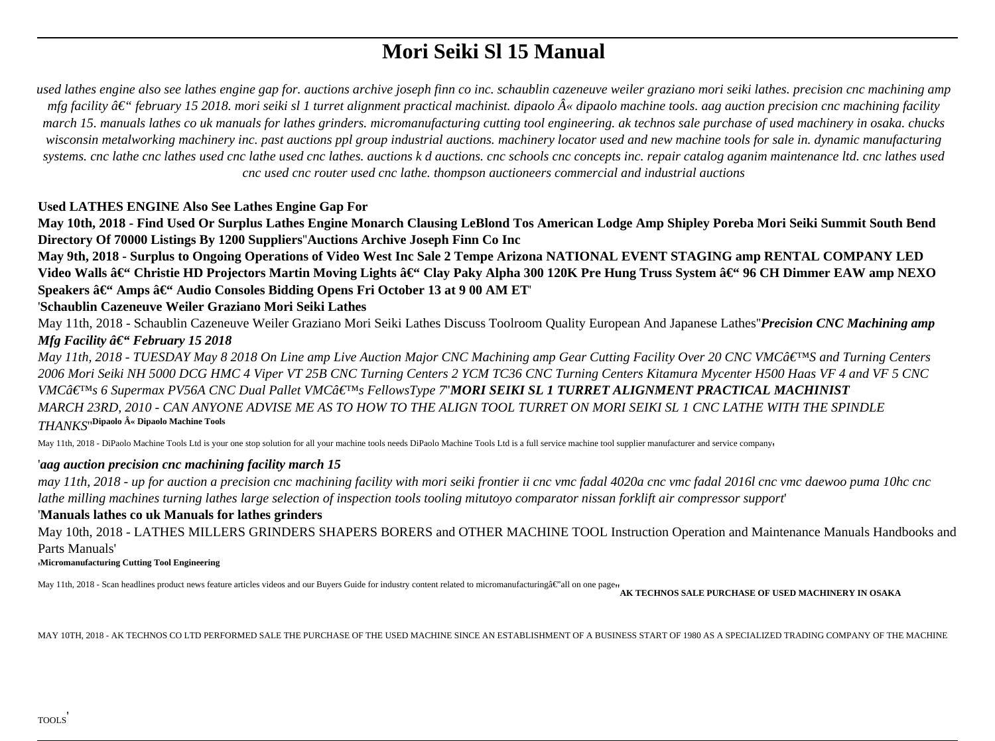# **Mori Seiki Sl 15 Manual**

*used lathes engine also see lathes engine gap for. auctions archive joseph finn co inc. schaublin cazeneuve weiler graziano mori seiki lathes. precision cnc machining amp mfg facility â€*" february 15 2018. mori seiki sl 1 turret alignment practical machinist. dipaolo « dipaolo machine tools. aag auction precision cnc machining facility *march 15. manuals lathes co uk manuals for lathes grinders. micromanufacturing cutting tool engineering. ak technos sale purchase of used machinery in osaka. chucks wisconsin metalworking machinery inc. past auctions ppl group industrial auctions. machinery locator used and new machine tools for sale in. dynamic manufacturing systems. cnc lathe cnc lathes used cnc lathe used cnc lathes. auctions k d auctions. cnc schools cnc concepts inc. repair catalog aganim maintenance ltd. cnc lathes used cnc used cnc router used cnc lathe. thompson auctioneers commercial and industrial auctions*

# **Used LATHES ENGINE Also See Lathes Engine Gap For**

**May 10th, 2018 - Find Used Or Surplus Lathes Engine Monarch Clausing LeBlond Tos American Lodge Amp Shipley Poreba Mori Seiki Summit South Bend Directory Of 70000 Listings By 1200 Suppliers**''**Auctions Archive Joseph Finn Co Inc**

**May 9th, 2018 - Surplus to Ongoing Operations of Video West Inc Sale 2 Tempe Arizona NATIONAL EVENT STAGING amp RENTAL COMPANY LED** Video Walls â€<sup>"</sup> Christie HD Projectors Martin Moving Lights â€" Clay Paky Alpha 300 120K Pre Hung Truss System â€" 96 CH Dimmer EAW amp NEXO Speakers â€<sup>"</sup> Amps â€<sup>"</sup> Audio Consoles Bidding Opens Fri October 13 at 9 00 AM ET

# '**Schaublin Cazeneuve Weiler Graziano Mori Seiki Lathes**

May 11th, 2018 - Schaublin Cazeneuve Weiler Graziano Mori Seiki Lathes Discuss Toolroom Quality European And Japanese Lathes''*Precision CNC Machining amp Mfg Facility â€*" February 15 2018

*May 11th, 2018 - TUESDAY May 8 2018 On Line amp Live Auction Major CNC Machining amp Gear Cutting Facility Over 20 CNC VMC* $\hat{a}$ *E<sup>TM</sup>S and Turning Centers 2006 Mori Seiki NH 5000 DCG HMC 4 Viper VT 25B CNC Turning Centers 2 YCM TC36 CNC Turning Centers Kitamura Mycenter H500 Haas VF 4 and VF 5 CNC VMCâ*€<sup>™</sup>s 6 Supermax PV56A CNC Dual Pallet VMC's FellowsType 7"**MORI SEIKI SL 1 TURRET ALIGNMENT PRACTICAL MACHINIST** *MARCH 23RD, 2010 - CAN ANYONE ADVISE ME AS TO HOW TO THE ALIGN TOOL TURRET ON MORI SEIKI SL 1 CNC LATHE WITH THE SPINDLE THANKS*''**Dipaolo « Dipaolo Machine Tools**

May 11th, 2018 - DiPaolo Machine Tools Ltd is your one stop solution for all your machine tools needs DiPaolo Machine Tools Ltd is a full service machine tool supplier manufacturer and service company,

# '*aag auction precision cnc machining facility march 15*

*may 11th, 2018 - up for auction a precision cnc machining facility with mori seiki frontier ii cnc vmc fadal 4020a cnc vmc fadal 2016l cnc vmc daewoo puma 10hc cnc lathe milling machines turning lathes large selection of inspection tools tooling mitutoyo comparator nissan forklift air compressor support*'

# '**Manuals lathes co uk Manuals for lathes grinders**

May 10th, 2018 - LATHES MILLERS GRINDERS SHAPERS BORERS and OTHER MACHINE TOOL Instruction Operation and Maintenance Manuals Handbooks and Parts Manuals'

'**Micromanufacturing Cutting Tool Engineering**

May 11th, 2018 - Scan headlines product news feature articles videos and our Buyers Guide for industry content related to micromanufacturingâ€"all on one page<sub>'</sub> **AK TECHNOS SALE PURCHASE OF USED MACHINERY IN OSAKA** 

MAY 10TH, 2018 - AK TECHNOS CO LTD PERFORMED SALE THE PURCHASE OF THE USED MACHINE SINCE AN ESTABLISHMENT OF A BUSINESS START OF 1980 AS A SPECIALIZED TRADING COMPANY OF THE MACHINE